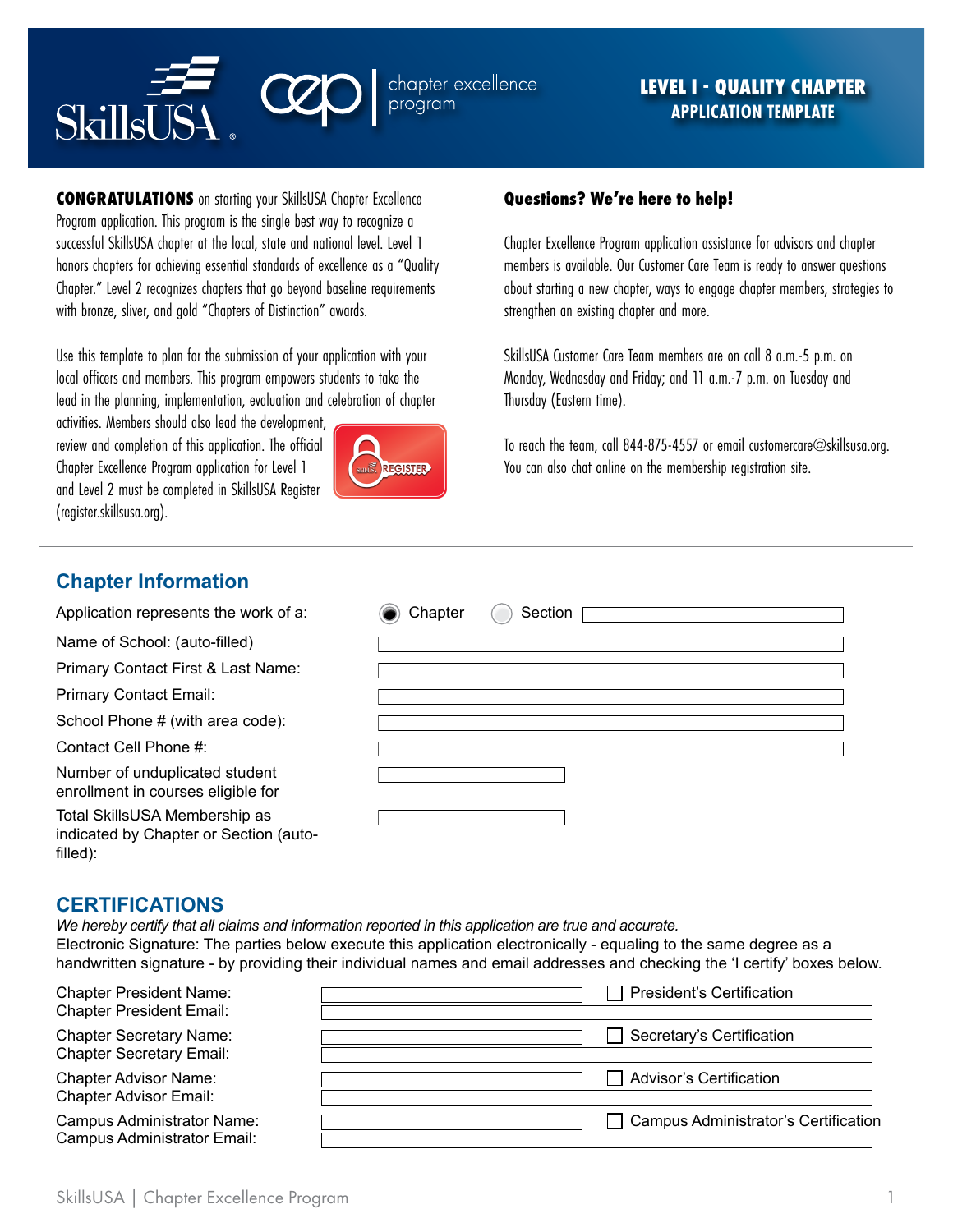

**CONGRATULATIONS** on starting your SkillsUSA Chapter Excellence Program application. This program is the single best way to recognize a successful SkillsUSA chapter at the local, state and national level. Level 1 honors chapters for achieving essential standards of excellence as a "Quality Chapter." Level 2 recognizes chapters that go beyond baseline requirements with bronze, sliver, and gold "Chapters of Distinction" awards.

Use this template to plan for the submission of your application with your local officers and members. This program empowers students to take the lead in the planning, implementation, evaluation and celebration of chapter

activities. Members should also lead the development, review and completion of this application. The official Chapter Excellence Program application for Level 1 and Level 2 must be completed in SkillsUSA Register (register.skillsusa.org).



### **Questions? We're here to help!**

Chapter Excellence Program application assistance for advisors and chapter members is available. Our Customer Care Team is ready to answer questions about starting a new chapter, ways to engage chapter members, strategies to strengthen an existing chapter and more.

SkillsUSA Customer Care Team members are on call 8 a.m.-5 p.m. on Monday, Wednesday and Friday; and 11 a.m.-7 p.m. on Tuesday and Thursday (Eastern time).

To reach the team, call 844-875-4557 or email customercare@skillsusa.org. You can also chat online on the membership registration site.

## **Chapter Information**

| Application represents the work of a:                                               | Section<br>Chapter |
|-------------------------------------------------------------------------------------|--------------------|
| Name of School: (auto-filled)                                                       |                    |
| Primary Contact First & Last Name:                                                  |                    |
| <b>Primary Contact Email:</b>                                                       |                    |
| School Phone # (with area code):                                                    |                    |
| Contact Cell Phone #:                                                               |                    |
| Number of unduplicated student<br>enrollment in courses eligible for                |                    |
| Total SkillsUSA Membership as<br>indicated by Chapter or Section (auto-<br>filled): |                    |

### **CERTIFICATIONS**

*We hereby certify that all claims and information reported in this application are true and accurate.* Electronic Signature: The parties below execute this application electronically - equaling to the same degree as a handwritten signature - by providing their individual names and email addresses and checking the 'I certify' boxes below.

| <b>Chapter President Name:</b><br><b>Chapter President Email:</b> | <b>President's Certification</b>            |
|-------------------------------------------------------------------|---------------------------------------------|
| <b>Chapter Secretary Name:</b><br><b>Chapter Secretary Email:</b> | Secretary's Certification                   |
| <b>Chapter Advisor Name:</b><br><b>Chapter Advisor Email:</b>     | <b>Advisor's Certification</b>              |
| <b>Campus Administrator Name:</b><br>Campus Administrator Email:  | <b>Campus Administrator's Certification</b> |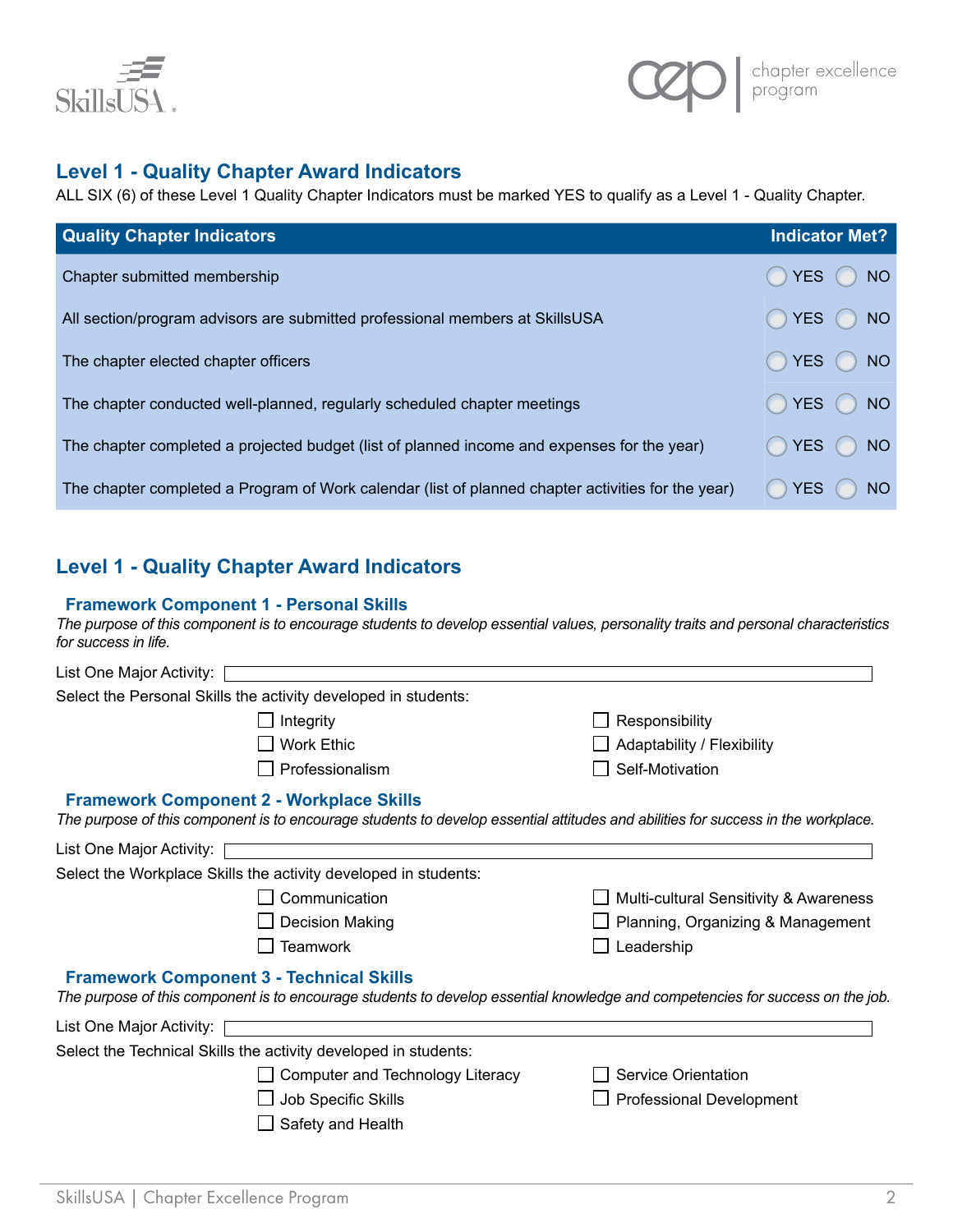

## **Level 1 - Quality Chapter Award Indicators**

ALL SIX (6) of these Level 1 Quality Chapter Indicators must be marked YES to qualify as a Level 1 - Quality Chapter.

| <b>Quality Chapter Indicators</b>                                                                  | <b>Indicator Met?</b>         |
|----------------------------------------------------------------------------------------------------|-------------------------------|
| Chapter submitted membership                                                                       | YES (<br><b>NO</b>            |
| All section/program advisors are submitted professional members at SkillsUSA                       | <b>YES</b><br><b>NO</b>       |
| The chapter elected chapter officers                                                               | $YES$ $()$<br><b>NO</b>       |
| The chapter conducted well-planned, regularly scheduled chapter meetings                           | YES (<br><b>NO</b>            |
| The chapter completed a projected budget (list of planned income and expenses for the year)        | <b>YES</b><br>NO <sub>1</sub> |
| The chapter completed a Program of Work calendar (list of planned chapter activities for the year) | <b>YES</b><br>NO.             |

# **Level 1 - Quality Chapter Award Indicators**

#### **Framework Component 1 - Personal Skills**

*The purpose of this component is to encourage students to develop essential values, personality traits and personal characteristics for success in life.*

| List One Major Activity: |                                                                 |                                                                                                                                   |
|--------------------------|-----------------------------------------------------------------|-----------------------------------------------------------------------------------------------------------------------------------|
|                          | Select the Personal Skills the activity developed in students:  |                                                                                                                                   |
|                          | Integrity                                                       | Responsibility                                                                                                                    |
|                          | <b>Work Ethic</b>                                               | Adaptability / Flexibility                                                                                                        |
|                          | Professionalism                                                 | Self-Motivation                                                                                                                   |
|                          | <b>Framework Component 2 - Workplace Skills</b>                 | The purpose of this component is to encourage students to develop essential attitudes and abilities for success in the workplace. |
| List One Major Activity: |                                                                 |                                                                                                                                   |
|                          | Select the Workplace Skills the activity developed in students: |                                                                                                                                   |
|                          | Communication                                                   | Multi-cultural Sensitivity & Awareness                                                                                            |
|                          | <b>Decision Making</b>                                          | Planning, Organizing & Management                                                                                                 |
|                          | <b>Teamwork</b>                                                 | Leadership                                                                                                                        |
|                          | <b>Framework Component 3 - Technical Skills</b>                 | The purpose of this component is to encourage students to develop essential knowledge and competencies for success on the job.    |
| List One Major Activity: |                                                                 |                                                                                                                                   |
|                          | Select the Technical Skills the activity developed in students: |                                                                                                                                   |
|                          | Computer and Technology Literacy                                | Service Orientation                                                                                                               |
|                          | Job Specific Skills                                             | <b>Professional Development</b>                                                                                                   |
|                          | Safety and Health                                               |                                                                                                                                   |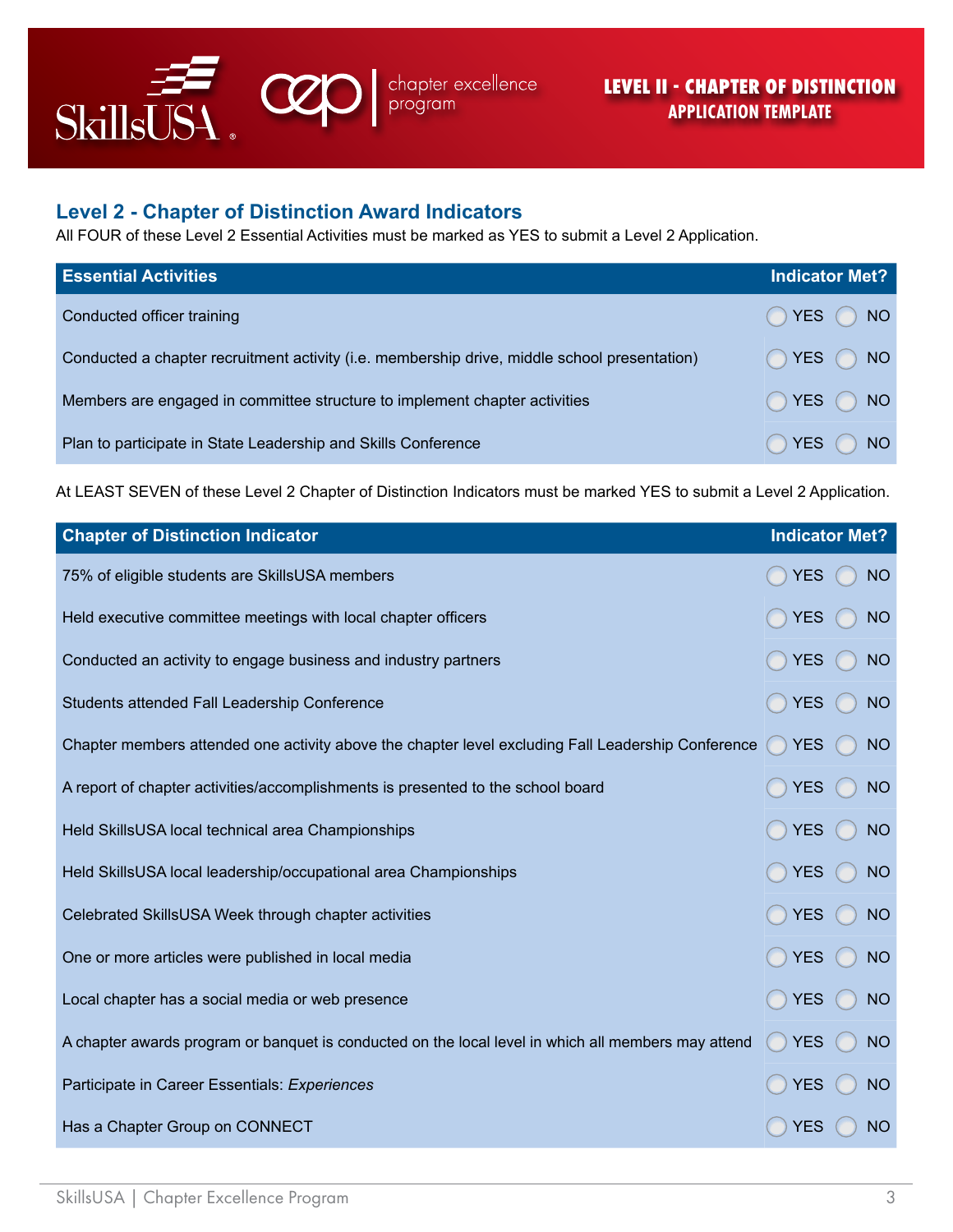

### **Level 2 - Chapter of Distinction Award Indicators**

All FOUR of these Level 2 Essential Activities must be marked as YES to submit a Level 2 Application.

| <b>Essential Activities</b>                                                                  | <b>Indicator Met?</b> |
|----------------------------------------------------------------------------------------------|-----------------------|
| Conducted officer training                                                                   | ◯ YES ◯ NO            |
| Conducted a chapter recruitment activity (i.e. membership drive, middle school presentation) | ◯ YES ◯ NO            |
| Members are engaged in committee structure to implement chapter activities                   | ◯ YES ◯ NO            |
| Plan to participate in State Leadership and Skills Conference                                | YES()<br><b>NO</b>    |

At LEAST SEVEN of these Level 2 Chapter of Distinction Indicators must be marked YES to submit a Level 2 Application.

| <b>Chapter of Distinction Indicator</b>                                                             | <b>Indicator Met?</b> |           |
|-----------------------------------------------------------------------------------------------------|-----------------------|-----------|
| 75% of eligible students are SkillsUSA members                                                      | <b>YES</b>            | <b>NO</b> |
| Held executive committee meetings with local chapter officers                                       | <b>YES</b>            | <b>NO</b> |
| Conducted an activity to engage business and industry partners                                      | <b>YES</b>            | <b>NO</b> |
| Students attended Fall Leadership Conference                                                        | <b>YES</b>            | <b>NO</b> |
| Chapter members attended one activity above the chapter level excluding Fall Leadership Conference  | YES                   | <b>NO</b> |
| A report of chapter activities/accomplishments is presented to the school board                     | <b>YES</b>            | <b>NO</b> |
| Held SkillsUSA local technical area Championships                                                   | YES                   | <b>NO</b> |
| Held SkillsUSA local leadership/occupational area Championships                                     | <b>YES</b>            | <b>NO</b> |
| Celebrated SkillsUSA Week through chapter activities                                                | <b>YES</b>            | <b>NO</b> |
| One or more articles were published in local media                                                  | <b>YES</b>            | <b>NO</b> |
| Local chapter has a social media or web presence                                                    | <b>YES</b>            | <b>NO</b> |
| A chapter awards program or banquet is conducted on the local level in which all members may attend | <b>YES</b>            | <b>NO</b> |
| Participate in Career Essentials: Experiences                                                       | <b>YES</b>            | <b>NO</b> |
| Has a Chapter Group on CONNECT                                                                      | <b>YES</b>            | <b>NO</b> |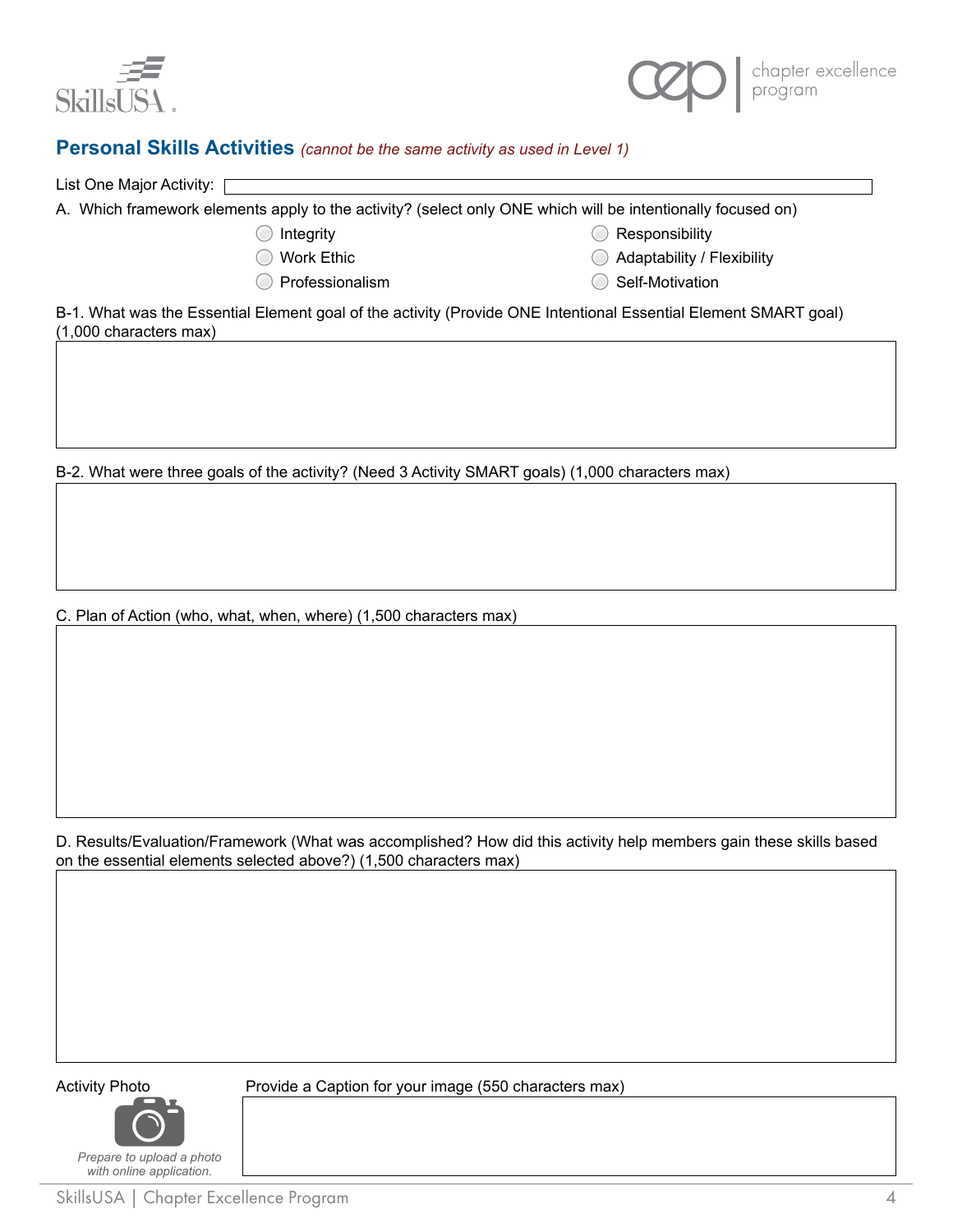



### **Personal Skills Activities** *(cannot be the same activity as used in Level 1)*

| List One Major Activity: [                                                                                  |                   |                                       |  |
|-------------------------------------------------------------------------------------------------------------|-------------------|---------------------------------------|--|
| A. Which framework elements apply to the activity? (select only ONE which will be intentionally focused on) |                   |                                       |  |
|                                                                                                             | Integrity         | Responsibility                        |  |
|                                                                                                             | <b>Work Ethic</b> | $\bigcirc$ Adaptability / Flexibility |  |
|                                                                                                             | Professionalism   | Self-Motivation                       |  |

B-1. What was the Essential Element goal of the activity (Provide ONE Intentional Essential Element SMART goal) (1,000 characters max)

B-2. What were three goals of the activity? (Need 3 Activity SMART goals) (1,000 characters max)

C. Plan of Action (who, what, when, where) (1,500 characters max)

D. Results/Evaluation/Framework (What was accomplished? How did this activity help members gain these skills based on the essential elements selected above?) (1,500 characters max)

*Prepare to upload a photo with online application.*

Activity Photo **Provide a Caption for your image (550 characters max)**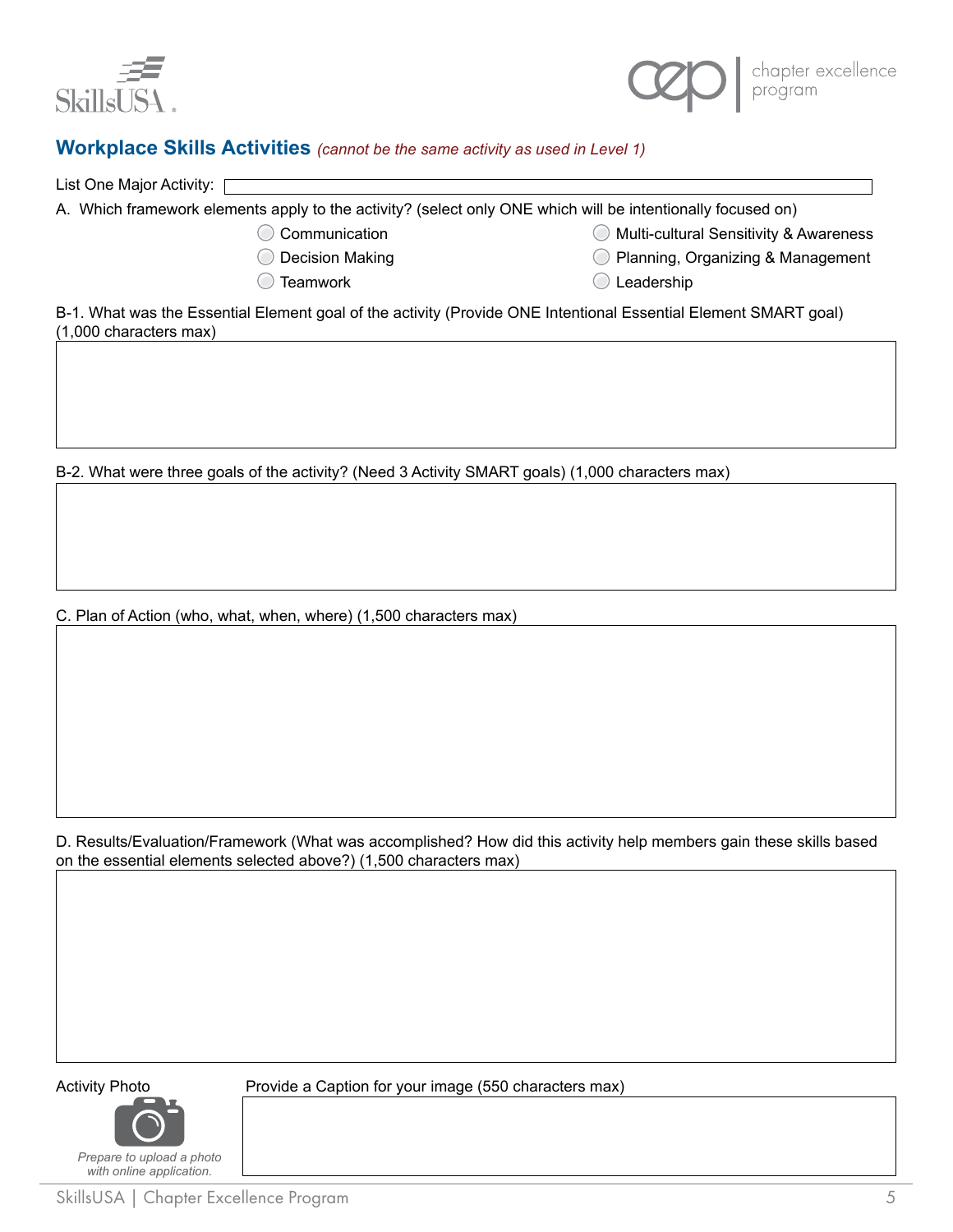



### **Workplace Skills Activities** *(cannot be the same activity as used in Level 1)*

| List One Major Activity: [ |                                                                                                             |                                          |  |
|----------------------------|-------------------------------------------------------------------------------------------------------------|------------------------------------------|--|
|                            | A. Which framework elements apply to the activity? (select only ONE which will be intentionally focused on) |                                          |  |
|                            | Communication                                                                                               | ◯ Multi-cultural Sensitivity & Awareness |  |
|                            | Decision Making                                                                                             | Planning, Organizing & Management        |  |
|                            | Teamwork                                                                                                    | Leadership                               |  |

B-1. What was the Essential Element goal of the activity (Provide ONE Intentional Essential Element SMART goal) (1,000 characters max)

B-2. What were three goals of the activity? (Need 3 Activity SMART goals) (1,000 characters max)

C. Plan of Action (who, what, when, where) (1,500 characters max)

D. Results/Evaluation/Framework (What was accomplished? How did this activity help members gain these skills based on the essential elements selected above?) (1,500 characters max)

*Prepare to upload a photo with online application.*

Activity Photo **Provide a Caption for your image (550 characters max)**